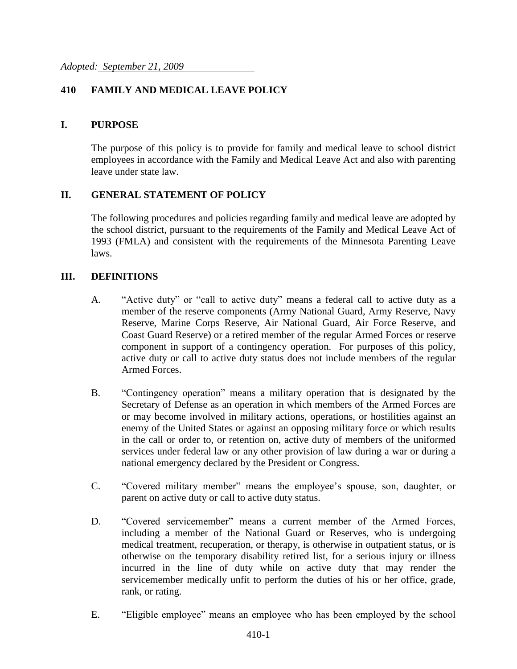# **410 FAMILY AND MEDICAL LEAVE POLICY**

## **I. PURPOSE**

The purpose of this policy is to provide for family and medical leave to school district employees in accordance with the Family and Medical Leave Act and also with parenting leave under state law.

## **II. GENERAL STATEMENT OF POLICY**

The following procedures and policies regarding family and medical leave are adopted by the school district, pursuant to the requirements of the Family and Medical Leave Act of 1993 (FMLA) and consistent with the requirements of the Minnesota Parenting Leave laws.

#### **III. DEFINITIONS**

- A. "Active duty" or "call to active duty" means a federal call to active duty as a member of the reserve components (Army National Guard, Army Reserve, Navy Reserve, Marine Corps Reserve, Air National Guard, Air Force Reserve, and Coast Guard Reserve) or a retired member of the regular Armed Forces or reserve component in support of a contingency operation. For purposes of this policy, active duty or call to active duty status does not include members of the regular Armed Forces.
- B. "Contingency operation" means a military operation that is designated by the Secretary of Defense as an operation in which members of the Armed Forces are or may become involved in military actions, operations, or hostilities against an enemy of the United States or against an opposing military force or which results in the call or order to, or retention on, active duty of members of the uniformed services under federal law or any other provision of law during a war or during a national emergency declared by the President or Congress.
- C. "Covered military member" means the employee's spouse, son, daughter, or parent on active duty or call to active duty status.
- D. "Covered servicemember" means a current member of the Armed Forces, including a member of the National Guard or Reserves, who is undergoing medical treatment, recuperation, or therapy, is otherwise in outpatient status, or is otherwise on the temporary disability retired list, for a serious injury or illness incurred in the line of duty while on active duty that may render the servicemember medically unfit to perform the duties of his or her office, grade, rank, or rating.
- E. "Eligible employee" means an employee who has been employed by the school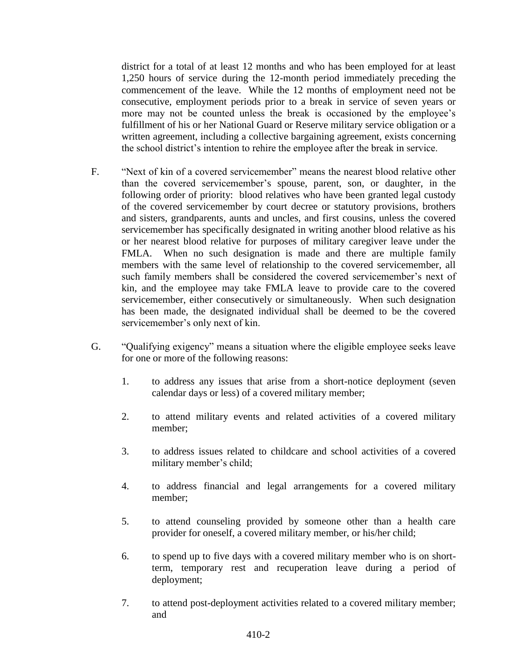district for a total of at least 12 months and who has been employed for at least 1,250 hours of service during the 12-month period immediately preceding the commencement of the leave. While the 12 months of employment need not be consecutive, employment periods prior to a break in service of seven years or more may not be counted unless the break is occasioned by the employee's fulfillment of his or her National Guard or Reserve military service obligation or a written agreement, including a collective bargaining agreement, exists concerning the school district's intention to rehire the employee after the break in service.

- F. "Next of kin of a covered servicemember" means the nearest blood relative other than the covered servicemember's spouse, parent, son, or daughter, in the following order of priority: blood relatives who have been granted legal custody of the covered servicemember by court decree or statutory provisions, brothers and sisters, grandparents, aunts and uncles, and first cousins, unless the covered servicemember has specifically designated in writing another blood relative as his or her nearest blood relative for purposes of military caregiver leave under the FMLA. When no such designation is made and there are multiple family members with the same level of relationship to the covered servicemember, all such family members shall be considered the covered servicemember's next of kin, and the employee may take FMLA leave to provide care to the covered servicemember, either consecutively or simultaneously. When such designation has been made, the designated individual shall be deemed to be the covered servicemember's only next of kin.
- G. "Qualifying exigency" means a situation where the eligible employee seeks leave for one or more of the following reasons:
	- 1. to address any issues that arise from a short-notice deployment (seven calendar days or less) of a covered military member;
	- 2. to attend military events and related activities of a covered military member;
	- 3. to address issues related to childcare and school activities of a covered military member's child;
	- 4. to address financial and legal arrangements for a covered military member;
	- 5. to attend counseling provided by someone other than a health care provider for oneself, a covered military member, or his/her child;
	- 6. to spend up to five days with a covered military member who is on shortterm, temporary rest and recuperation leave during a period of deployment;
	- 7. to attend post-deployment activities related to a covered military member; and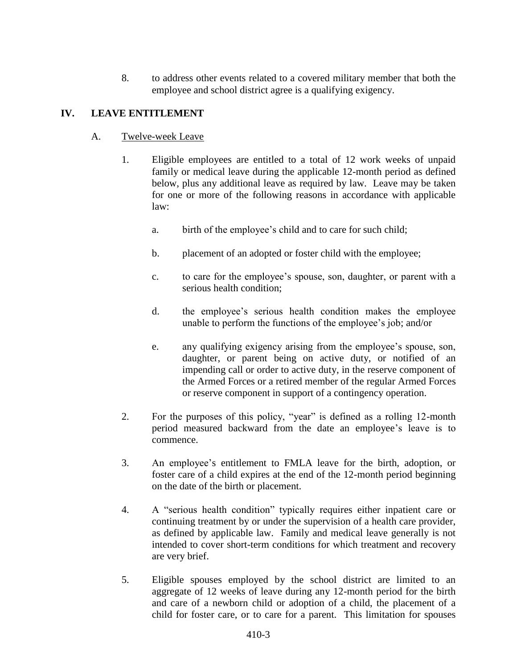8. to address other events related to a covered military member that both the employee and school district agree is a qualifying exigency.

# **IV. LEAVE ENTITLEMENT**

#### A. Twelve-week Leave

- 1. Eligible employees are entitled to a total of 12 work weeks of unpaid family or medical leave during the applicable 12-month period as defined below, plus any additional leave as required by law. Leave may be taken for one or more of the following reasons in accordance with applicable law:
	- a. birth of the employee's child and to care for such child;
	- b. placement of an adopted or foster child with the employee;
	- c. to care for the employee's spouse, son, daughter, or parent with a serious health condition;
	- d. the employee's serious health condition makes the employee unable to perform the functions of the employee's job; and/or
	- e. any qualifying exigency arising from the employee's spouse, son, daughter, or parent being on active duty, or notified of an impending call or order to active duty, in the reserve component of the Armed Forces or a retired member of the regular Armed Forces or reserve component in support of a contingency operation.
- 2. For the purposes of this policy, "year" is defined as a rolling 12-month period measured backward from the date an employee's leave is to commence.
- 3. An employee's entitlement to FMLA leave for the birth, adoption, or foster care of a child expires at the end of the 12-month period beginning on the date of the birth or placement.
- 4. A "serious health condition" typically requires either inpatient care or continuing treatment by or under the supervision of a health care provider, as defined by applicable law. Family and medical leave generally is not intended to cover short-term conditions for which treatment and recovery are very brief.
- 5. Eligible spouses employed by the school district are limited to an aggregate of 12 weeks of leave during any 12-month period for the birth and care of a newborn child or adoption of a child, the placement of a child for foster care, or to care for a parent. This limitation for spouses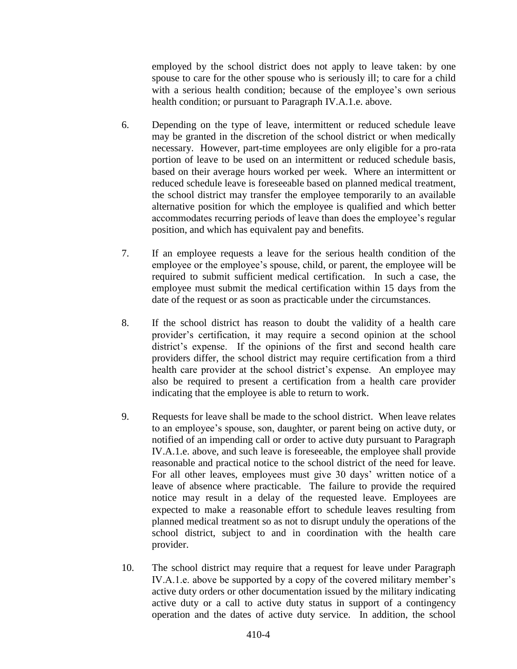employed by the school district does not apply to leave taken: by one spouse to care for the other spouse who is seriously ill; to care for a child with a serious health condition; because of the employee's own serious health condition; or pursuant to Paragraph IV.A.1.e. above.

- 6. Depending on the type of leave, intermittent or reduced schedule leave may be granted in the discretion of the school district or when medically necessary. However, part-time employees are only eligible for a pro-rata portion of leave to be used on an intermittent or reduced schedule basis, based on their average hours worked per week. Where an intermittent or reduced schedule leave is foreseeable based on planned medical treatment, the school district may transfer the employee temporarily to an available alternative position for which the employee is qualified and which better accommodates recurring periods of leave than does the employee's regular position, and which has equivalent pay and benefits.
- 7. If an employee requests a leave for the serious health condition of the employee or the employee's spouse, child, or parent, the employee will be required to submit sufficient medical certification. In such a case, the employee must submit the medical certification within 15 days from the date of the request or as soon as practicable under the circumstances.
- 8. If the school district has reason to doubt the validity of a health care provider's certification, it may require a second opinion at the school district's expense. If the opinions of the first and second health care providers differ, the school district may require certification from a third health care provider at the school district's expense. An employee may also be required to present a certification from a health care provider indicating that the employee is able to return to work.
- 9. Requests for leave shall be made to the school district. When leave relates to an employee's spouse, son, daughter, or parent being on active duty, or notified of an impending call or order to active duty pursuant to Paragraph IV.A.1.e. above, and such leave is foreseeable, the employee shall provide reasonable and practical notice to the school district of the need for leave. For all other leaves, employees must give 30 days' written notice of a leave of absence where practicable. The failure to provide the required notice may result in a delay of the requested leave. Employees are expected to make a reasonable effort to schedule leaves resulting from planned medical treatment so as not to disrupt unduly the operations of the school district, subject to and in coordination with the health care provider.
- 10. The school district may require that a request for leave under Paragraph IV.A.1.e. above be supported by a copy of the covered military member's active duty orders or other documentation issued by the military indicating active duty or a call to active duty status in support of a contingency operation and the dates of active duty service. In addition, the school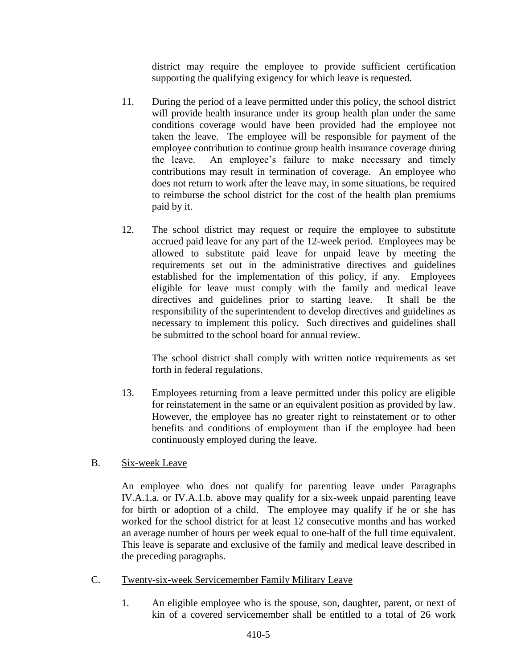district may require the employee to provide sufficient certification supporting the qualifying exigency for which leave is requested.

- 11. During the period of a leave permitted under this policy, the school district will provide health insurance under its group health plan under the same conditions coverage would have been provided had the employee not taken the leave. The employee will be responsible for payment of the employee contribution to continue group health insurance coverage during the leave. An employee's failure to make necessary and timely contributions may result in termination of coverage. An employee who does not return to work after the leave may, in some situations, be required to reimburse the school district for the cost of the health plan premiums paid by it.
- 12. The school district may request or require the employee to substitute accrued paid leave for any part of the 12-week period. Employees may be allowed to substitute paid leave for unpaid leave by meeting the requirements set out in the administrative directives and guidelines established for the implementation of this policy, if any. Employees eligible for leave must comply with the family and medical leave directives and guidelines prior to starting leave. It shall be the responsibility of the superintendent to develop directives and guidelines as necessary to implement this policy. Such directives and guidelines shall be submitted to the school board for annual review.

The school district shall comply with written notice requirements as set forth in federal regulations.

- 13. Employees returning from a leave permitted under this policy are eligible for reinstatement in the same or an equivalent position as provided by law. However, the employee has no greater right to reinstatement or to other benefits and conditions of employment than if the employee had been continuously employed during the leave.
- B. Six-week Leave

An employee who does not qualify for parenting leave under Paragraphs IV.A.1.a. or IV.A.1.b. above may qualify for a six-week unpaid parenting leave for birth or adoption of a child. The employee may qualify if he or she has worked for the school district for at least 12 consecutive months and has worked an average number of hours per week equal to one-half of the full time equivalent. This leave is separate and exclusive of the family and medical leave described in the preceding paragraphs.

- C. Twenty-six-week Servicemember Family Military Leave
	- 1. An eligible employee who is the spouse, son, daughter, parent, or next of kin of a covered servicemember shall be entitled to a total of 26 work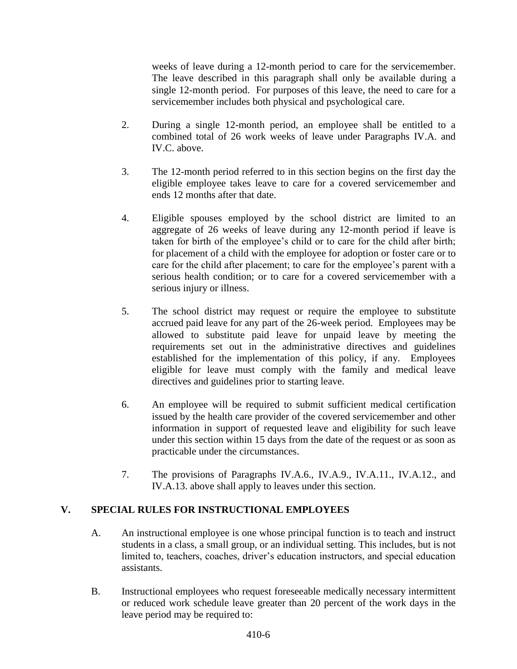weeks of leave during a 12-month period to care for the servicemember. The leave described in this paragraph shall only be available during a single 12-month period. For purposes of this leave, the need to care for a servicemember includes both physical and psychological care.

- 2. During a single 12-month period, an employee shall be entitled to a combined total of 26 work weeks of leave under Paragraphs IV.A. and IV.C. above.
- 3. The 12-month period referred to in this section begins on the first day the eligible employee takes leave to care for a covered servicemember and ends 12 months after that date.
- 4. Eligible spouses employed by the school district are limited to an aggregate of 26 weeks of leave during any 12-month period if leave is taken for birth of the employee's child or to care for the child after birth; for placement of a child with the employee for adoption or foster care or to care for the child after placement; to care for the employee's parent with a serious health condition; or to care for a covered servicemember with a serious injury or illness.
- 5. The school district may request or require the employee to substitute accrued paid leave for any part of the 26-week period. Employees may be allowed to substitute paid leave for unpaid leave by meeting the requirements set out in the administrative directives and guidelines established for the implementation of this policy, if any. Employees eligible for leave must comply with the family and medical leave directives and guidelines prior to starting leave.
- 6. An employee will be required to submit sufficient medical certification issued by the health care provider of the covered servicemember and other information in support of requested leave and eligibility for such leave under this section within 15 days from the date of the request or as soon as practicable under the circumstances.
- 7. The provisions of Paragraphs IV.A.6., IV.A.9., IV.A.11., IV.A.12., and IV.A.13. above shall apply to leaves under this section.

## **V. SPECIAL RULES FOR INSTRUCTIONAL EMPLOYEES**

- A. An instructional employee is one whose principal function is to teach and instruct students in a class, a small group, or an individual setting. This includes, but is not limited to, teachers, coaches, driver's education instructors, and special education assistants.
- B. Instructional employees who request foreseeable medically necessary intermittent or reduced work schedule leave greater than 20 percent of the work days in the leave period may be required to: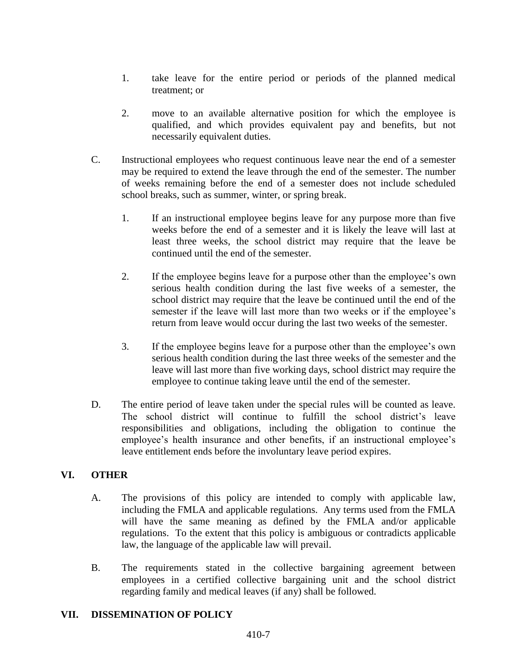- 1. take leave for the entire period or periods of the planned medical treatment; or
- 2. move to an available alternative position for which the employee is qualified, and which provides equivalent pay and benefits, but not necessarily equivalent duties.
- C. Instructional employees who request continuous leave near the end of a semester may be required to extend the leave through the end of the semester. The number of weeks remaining before the end of a semester does not include scheduled school breaks, such as summer, winter, or spring break.
	- 1. If an instructional employee begins leave for any purpose more than five weeks before the end of a semester and it is likely the leave will last at least three weeks, the school district may require that the leave be continued until the end of the semester.
	- 2. If the employee begins leave for a purpose other than the employee's own serious health condition during the last five weeks of a semester, the school district may require that the leave be continued until the end of the semester if the leave will last more than two weeks or if the employee's return from leave would occur during the last two weeks of the semester.
	- 3. If the employee begins leave for a purpose other than the employee's own serious health condition during the last three weeks of the semester and the leave will last more than five working days, school district may require the employee to continue taking leave until the end of the semester.
- D. The entire period of leave taken under the special rules will be counted as leave. The school district will continue to fulfill the school district's leave responsibilities and obligations, including the obligation to continue the employee's health insurance and other benefits, if an instructional employee's leave entitlement ends before the involuntary leave period expires.

## **VI. OTHER**

- A. The provisions of this policy are intended to comply with applicable law, including the FMLA and applicable regulations. Any terms used from the FMLA will have the same meaning as defined by the FMLA and/or applicable regulations. To the extent that this policy is ambiguous or contradicts applicable law, the language of the applicable law will prevail.
- B. The requirements stated in the collective bargaining agreement between employees in a certified collective bargaining unit and the school district regarding family and medical leaves (if any) shall be followed.

## **VII. DISSEMINATION OF POLICY**